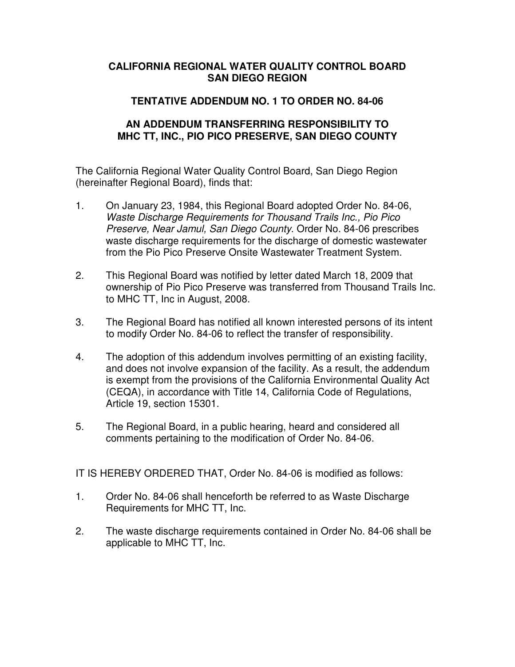## **CALIFORNIA REGIONAL WATER QUALITY CONTROL BOARD SAN DIEGO REGION**

## **TENTATIVE ADDENDUM NO. 1 TO ORDER NO. 84-06**

## **AN ADDENDUM TRANSFERRING RESPONSIBILITY TO MHC TT, INC., PIO PICO PRESERVE, SAN DIEGO COUNTY**

The California Regional Water Quality Control Board, San Diego Region (hereinafter Regional Board), finds that:

- 1. On January 23, 1984, this Regional Board adopted Order No. 84-06, Waste Discharge Requirements for Thousand Trails Inc., Pio Pico Preserve, Near Jamul, San Diego County. Order No. 84-06 prescribes waste discharge requirements for the discharge of domestic wastewater from the Pio Pico Preserve Onsite Wastewater Treatment System.
- 2. This Regional Board was notified by letter dated March 18, 2009 that ownership of Pio Pico Preserve was transferred from Thousand Trails Inc. to MHC TT, Inc in August, 2008.
- 3. The Regional Board has notified all known interested persons of its intent to modify Order No. 84-06 to reflect the transfer of responsibility.
- 4. The adoption of this addendum involves permitting of an existing facility, and does not involve expansion of the facility. As a result, the addendum is exempt from the provisions of the California Environmental Quality Act (CEQA), in accordance with Title 14, California Code of Regulations, Article 19, section 15301.
- 5. The Regional Board, in a public hearing, heard and considered all comments pertaining to the modification of Order No. 84-06.

IT IS HEREBY ORDERED THAT, Order No. 84-06 is modified as follows:

- 1. Order No. 84-06 shall henceforth be referred to as Waste Discharge Requirements for MHC TT, Inc.
- 2. The waste discharge requirements contained in Order No. 84-06 shall be applicable to MHC TT, Inc.